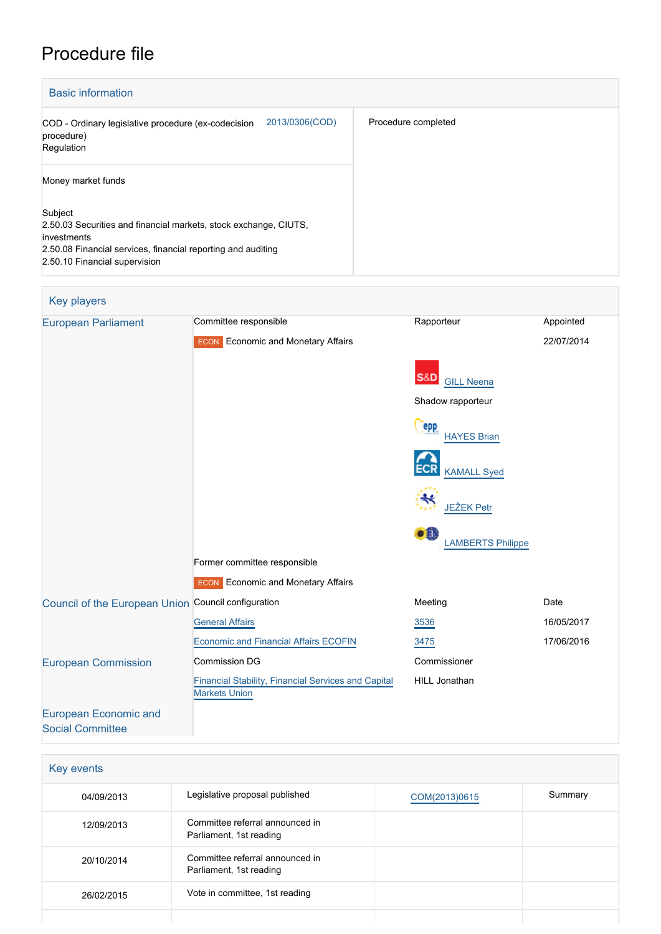# Procedure file

| <b>Basic information</b>                                                                                                                                                                    |                     |
|---------------------------------------------------------------------------------------------------------------------------------------------------------------------------------------------|---------------------|
| 2013/0306(COD)<br>COD - Ordinary legislative procedure (ex-codecision<br>procedure)<br>Regulation                                                                                           | Procedure completed |
| Money market funds                                                                                                                                                                          |                     |
| Subject<br>2.50.03 Securities and financial markets, stock exchange, CIUTS,<br>investments<br>2.50.08 Financial services, financial reporting and auditing<br>2.50.10 Financial supervision |                     |

## Key players

| <b>European Parliament</b>                          | Committee responsible                                                       | Rapporteur                          | Appointed  |
|-----------------------------------------------------|-----------------------------------------------------------------------------|-------------------------------------|------------|
|                                                     | <b>ECON</b> Economic and Monetary Affairs                                   |                                     | 22/07/2014 |
|                                                     |                                                                             | <b>S&amp;D</b><br><b>GILL Neena</b> |            |
|                                                     |                                                                             |                                     |            |
|                                                     |                                                                             | Shadow rapporteur                   |            |
|                                                     |                                                                             | epp<br><b>HAYES Brian</b>           |            |
|                                                     |                                                                             | <b>KAMALL Syed</b>                  |            |
|                                                     |                                                                             | <b>JEŽEK Petr</b>                   |            |
|                                                     |                                                                             | o a<br><b>LAMBERTS Philippe</b>     |            |
|                                                     | Former committee responsible                                                |                                     |            |
|                                                     | <b>ECON</b> Economic and Monetary Affairs                                   |                                     |            |
| Council of the European Union Council configuration |                                                                             | Meeting                             | Date       |
|                                                     | <b>General Affairs</b>                                                      | 3536                                | 16/05/2017 |
|                                                     | <b>Economic and Financial Affairs ECOFIN</b>                                | 3475                                | 17/06/2016 |
| <b>European Commission</b>                          | Commission DG                                                               | Commissioner                        |            |
|                                                     | Financial Stability, Financial Services and Capital<br><b>Markets Union</b> | HILL Jonathan                       |            |
| <b>European Economic and</b>                        |                                                                             |                                     |            |
| <b>Social Committee</b>                             |                                                                             |                                     |            |

| Key events |                                                            |               |         |
|------------|------------------------------------------------------------|---------------|---------|
| 04/09/2013 | Legislative proposal published                             | COM(2013)0615 | Summary |
| 12/09/2013 | Committee referral announced in<br>Parliament, 1st reading |               |         |
| 20/10/2014 | Committee referral announced in<br>Parliament, 1st reading |               |         |
| 26/02/2015 | Vote in committee, 1st reading                             |               |         |
|            |                                                            |               |         |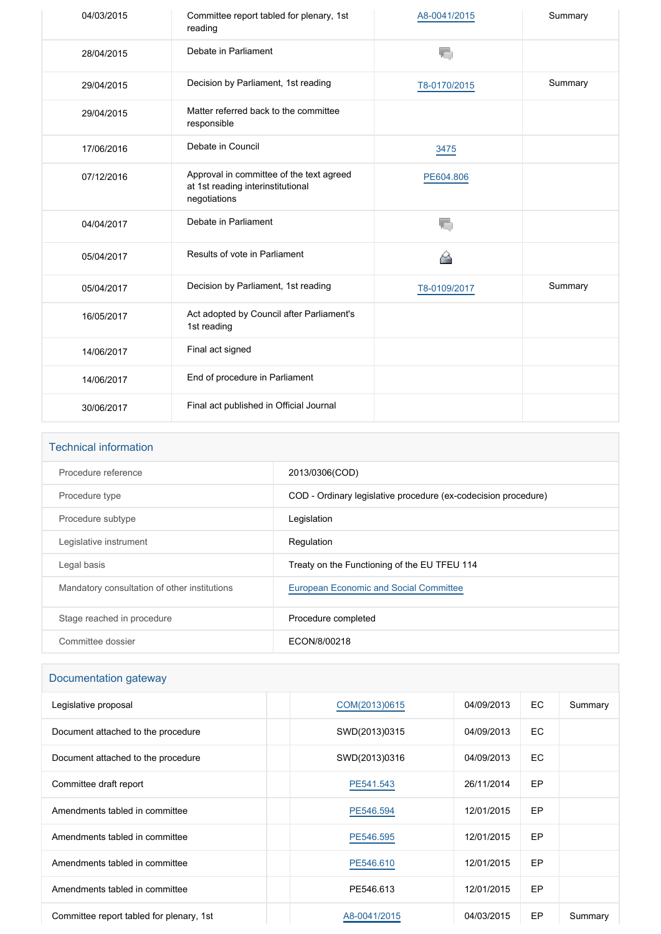| 04/03/2015 | Committee report tabled for plenary, 1st<br>reading                                           | A8-0041/2015 | Summary |
|------------|-----------------------------------------------------------------------------------------------|--------------|---------|
| 28/04/2015 | Debate in Parliament                                                                          | T,           |         |
| 29/04/2015 | Decision by Parliament, 1st reading                                                           | T8-0170/2015 | Summary |
| 29/04/2015 | Matter referred back to the committee<br>responsible                                          |              |         |
| 17/06/2016 | Debate in Council                                                                             | 3475         |         |
| 07/12/2016 | Approval in committee of the text agreed<br>at 1st reading interinstitutional<br>negotiations | PE604.806    |         |
| 04/04/2017 | Debate in Parliament                                                                          | T.           |         |
| 05/04/2017 | Results of vote in Parliament                                                                 | 심            |         |
| 05/04/2017 | Decision by Parliament, 1st reading                                                           | T8-0109/2017 | Summary |
| 16/05/2017 | Act adopted by Council after Parliament's<br>1st reading                                      |              |         |
| 14/06/2017 | Final act signed                                                                              |              |         |
| 14/06/2017 | End of procedure in Parliament                                                                |              |         |
| 30/06/2017 | Final act published in Official Journal                                                       |              |         |

| 2013/0306(COD)                                                 |
|----------------------------------------------------------------|
| COD - Ordinary legislative procedure (ex-codecision procedure) |
| Legislation                                                    |
| Regulation                                                     |
| Treaty on the Functioning of the EU TFEU 114                   |
| <b>European Economic and Social Committee</b>                  |
| Procedure completed                                            |
| ECON/8/00218                                                   |
|                                                                |

## Documentation gateway

| Legislative proposal                     | COM(2013)0615 | 04/09/2013 | EC  | Summary |
|------------------------------------------|---------------|------------|-----|---------|
| Document attached to the procedure       | SWD(2013)0315 | 04/09/2013 | EC  |         |
| Document attached to the procedure       | SWD(2013)0316 | 04/09/2013 | EC. |         |
| Committee draft report                   | PE541.543     | 26/11/2014 | EP  |         |
| Amendments tabled in committee           | PE546.594     | 12/01/2015 | EP  |         |
| Amendments tabled in committee           | PE546.595     | 12/01/2015 | EP  |         |
| Amendments tabled in committee           | PE546.610     | 12/01/2015 | EP  |         |
| Amendments tabled in committee           | PE546.613     | 12/01/2015 | EP  |         |
| Committee report tabled for plenary, 1st | A8-0041/2015  | 04/03/2015 | EP  | Summary |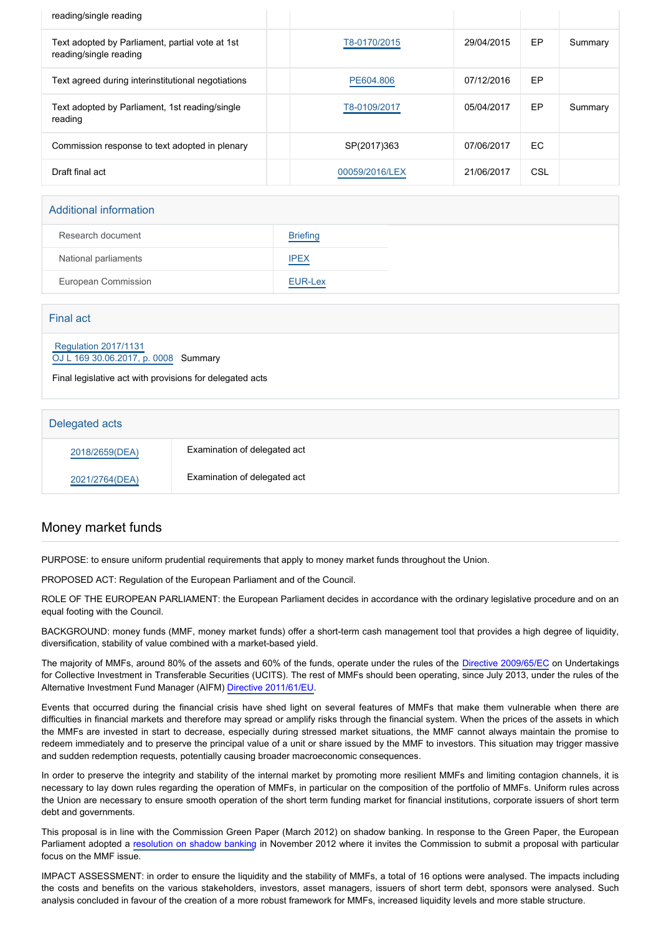| reading/single reading                                                    |                |            |     |         |
|---------------------------------------------------------------------------|----------------|------------|-----|---------|
| Text adopted by Parliament, partial vote at 1st<br>reading/single reading | T8-0170/2015   | 29/04/2015 | EP  | Summary |
| Text agreed during interinstitutional negotiations                        | PE604.806      | 07/12/2016 | EP  |         |
| Text adopted by Parliament, 1st reading/single<br>reading                 | T8-0109/2017   | 05/04/2017 | EP  | Summary |
| Commission response to text adopted in plenary                            | SP(2017)363    | 07/06/2017 | EC. |         |
| Draft final act                                                           | 00059/2016/LEX | 21/06/2017 | CSL |         |

Additional information

| Research document    | <b>Briefing</b> |
|----------------------|-----------------|
| National parliaments | <b>IPEX</b>     |
| European Commission  | EUR-Lex         |

Final act

#### [Regulation 2017/1131](https://eur-lex.europa.eu/smartapi/cgi/sga_doc?smartapi!celexplus!prod!CELEXnumdoc&lg=EN&numdoc=32017R1131) [OJ L 169 30.06.2017, p. 0008](https://eur-lex.europa.eu/legal-content/EN/TXT/?uri=OJ:L:2017:169:TOC) Summary

Final legislative act with provisions for delegated acts

| Delegated acts |                              |
|----------------|------------------------------|
| 2018/2659(DEA) | Examination of delegated act |
| 2021/2764(DEA) | Examination of delegated act |

#### Money market funds

PURPOSE: to ensure uniform prudential requirements that apply to money market funds throughout the Union.

PROPOSED ACT: Regulation of the European Parliament and of the Council.

ROLE OF THE EUROPEAN PARLIAMENT: the European Parliament decides in accordance with the ordinary legislative procedure and on an equal footing with the Council.

BACKGROUND: money funds (MMF, money market funds) offer a short-term cash management tool that provides a high degree of liquidity, diversification, stability of value combined with a market-based yield.

The majority of MMFs, around 80% of the assets and 60% of the funds, operate under the rules of the [Directive 2009/65/EC](http://www.europarl.europa.eu/oeil/FindByProcnum.do?lang=en&procnum=COD/2008/0153) on Undertakings for Collective Investment in Transferable Securities (UCITS). The rest of MMFs should been operating, since July 2013, under the rules of the Alternative Investment Fund Manager (AIFM) [Directive 2011/61/EU.](http://www.europarl.europa.eu/oeil/FindByProcnum.do?lang=en&procnum=COD/2009/0064)

Events that occurred during the financial crisis have shed light on several features of MMFs that make them vulnerable when there are difficulties in financial markets and therefore may spread or amplify risks through the financial system. When the prices of the assets in which the MMFs are invested in start to decrease, especially during stressed market situations, the MMF cannot always maintain the promise to redeem immediately and to preserve the principal value of a unit or share issued by the MMF to investors. This situation may trigger massive and sudden redemption requests, potentially causing broader macroeconomic consequences.

In order to preserve the integrity and stability of the internal market by promoting more resilient MMFs and limiting contagion channels, it is necessary to lay down rules regarding the operation of MMFs, in particular on the composition of the portfolio of MMFs. Uniform rules across the Union are necessary to ensure smooth operation of the short term funding market for financial institutions, corporate issuers of short term debt and governments.

This proposal is in line with the Commission Green Paper (March 2012) on shadow banking. In response to the Green Paper, the European Parliament adopted a [resolution on shadow banking](http://www.europarl.europa.eu/oeil/popups/ficheprocedure.do?reference=2012/2115(INI)&l=en) in November 2012 where it invites the Commission to submit a proposal with particular focus on the MMF issue.

IMPACT ASSESSMENT: in order to ensure the liquidity and the stability of MMFs, a total of 16 options were analysed. The impacts including the costs and benefits on the various stakeholders, investors, asset managers, issuers of short term debt, sponsors were analysed. Such analysis concluded in favour of the creation of a more robust framework for MMFs, increased liquidity levels and more stable structure.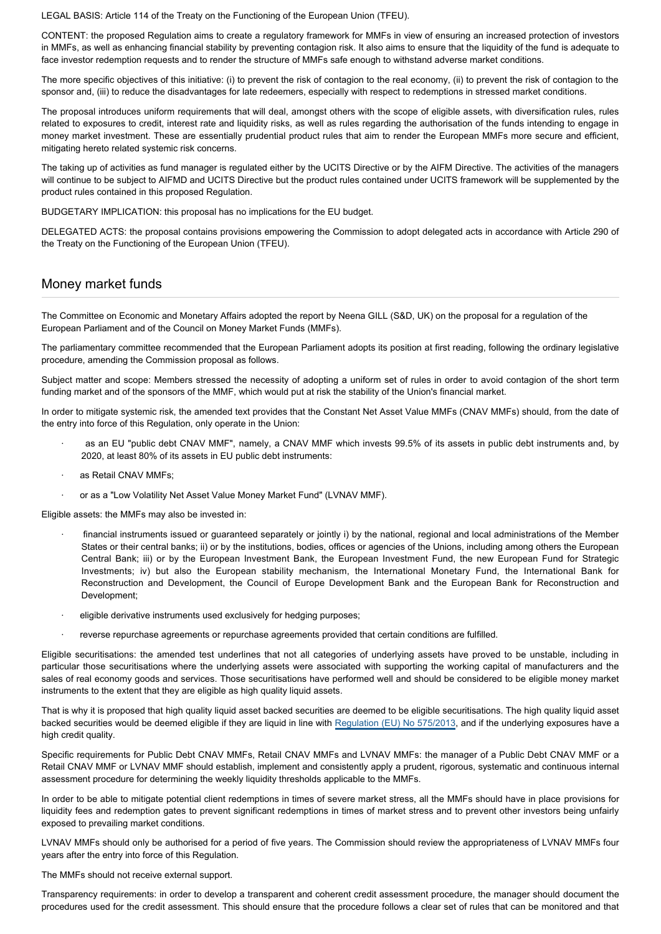LEGAL BASIS: Article 114 of the Treaty on the Functioning of the European Union (TFEU).

CONTENT: the proposed Regulation aims to create a regulatory framework for MMFs in view of ensuring an increased protection of investors in MMFs, as well as enhancing financial stability by preventing contagion risk. It also aims to ensure that the liquidity of the fund is adequate to face investor redemption requests and to render the structure of MMFs safe enough to withstand adverse market conditions.

The more specific objectives of this initiative: (i) to prevent the risk of contagion to the real economy, (ii) to prevent the risk of contagion to the sponsor and, (iii) to reduce the disadvantages for late redeemers, especially with respect to redemptions in stressed market conditions.

The proposal introduces uniform requirements that will deal, amongst others with the scope of eligible assets, with diversification rules, rules related to exposures to credit, interest rate and liquidity risks, as well as rules regarding the authorisation of the funds intending to engage in money market investment. These are essentially prudential product rules that aim to render the European MMFs more secure and efficient, mitigating hereto related systemic risk concerns.

The taking up of activities as fund manager is regulated either by the UCITS Directive or by the AIFM Directive. The activities of the managers will continue to be subject to AIFMD and UCITS Directive but the product rules contained under UCITS framework will be supplemented by the product rules contained in this proposed Regulation.

BUDGETARY IMPLICATION: this proposal has no implications for the EU budget.

DELEGATED ACTS: the proposal contains provisions empowering the Commission to adopt delegated acts in accordance with Article 290 of the Treaty on the Functioning of the European Union (TFEU).

#### Money market funds

The Committee on Economic and Monetary Affairs adopted the report by Neena GILL (S&D, UK) on the proposal for a regulation of the European Parliament and of the Council on Money Market Funds (MMFs).

The parliamentary committee recommended that the European Parliament adopts its position at first reading, following the ordinary legislative procedure, amending the Commission proposal as follows.

Subject matter and scope: Members stressed the necessity of adopting a uniform set of rules in order to avoid contagion of the short term funding market and of the sponsors of the MMF, which would put at risk the stability of the Union's financial market.

In order to mitigate systemic risk, the amended text provides that the Constant Net Asset Value MMFs (CNAV MMFs) should, from the date of the entry into force of this Regulation, only operate in the Union:

- as an EU "public debt CNAV MMF", namely, a CNAV MMF which invests 99.5% of its assets in public debt instruments and, by 2020, at least 80% of its assets in EU public debt instruments:
- as Retail CNAV MMFs;
- or as a "Low Volatility Net Asset Value Money Market Fund" (LVNAV MMF).

Eligible assets: the MMFs may also be invested in:

- · financial instruments issued or guaranteed separately or jointly i) by the national, regional and local administrations of the Member States or their central banks; ii) or by the institutions, bodies, offices or agencies of the Unions, including among others the European Central Bank; iii) or by the European Investment Bank, the European Investment Fund, the new European Fund for Strategic Investments; iv) but also the European stability mechanism, the International Monetary Fund, the International Bank for Reconstruction and Development, the Council of Europe Development Bank and the European Bank for Reconstruction and Development;
- eligible derivative instruments used exclusively for hedging purposes;
- · reverse repurchase agreements or repurchase agreements provided that certain conditions are fulfilled.

Eligible securitisations: the amended test underlines that not all categories of underlying assets have proved to be unstable, including in particular those securitisations where the underlying assets were associated with supporting the working capital of manufacturers and the sales of real economy goods and services. Those securitisations have performed well and should be considered to be eligible money market instruments to the extent that they are eligible as high quality liquid assets.

That is why it is proposed that high quality liquid asset backed securities are deemed to be eligible securitisations. The high quality liquid asset backed securities would be deemed eligible if they are liquid in line with [Regulation \(EU\) No 575/2013](http://www.europarl.europa.eu/oeil/popups/ficheprocedure.do?reference=2011/0202(COD)&l=en), and if the underlying exposures have a high credit quality.

Specific requirements for Public Debt CNAV MMFs, Retail CNAV MMFs and LVNAV MMFs: the manager of a Public Debt CNAV MMF or a Retail CNAV MMF or LVNAV MMF should establish, implement and consistently apply a prudent, rigorous, systematic and continuous internal assessment procedure for determining the weekly liquidity thresholds applicable to the MMFs.

In order to be able to mitigate potential client redemptions in times of severe market stress, all the MMFs should have in place provisions for liquidity fees and redemption gates to prevent significant redemptions in times of market stress and to prevent other investors being unfairly exposed to prevailing market conditions.

LVNAV MMFs should only be authorised for a period of five years. The Commission should review the appropriateness of LVNAV MMFs four years after the entry into force of this Regulation.

The MMFs should not receive external support.

Transparency requirements: in order to develop a transparent and coherent credit assessment procedure, the manager should document the procedures used for the credit assessment. This should ensure that the procedure follows a clear set of rules that can be monitored and that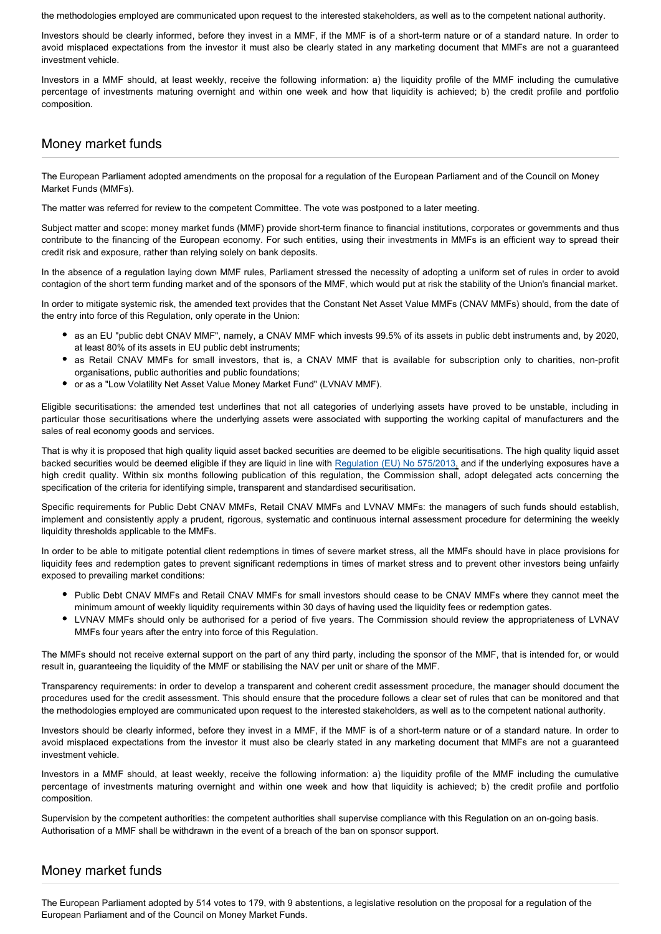the methodologies employed are communicated upon request to the interested stakeholders, as well as to the competent national authority.

Investors should be clearly informed, before they invest in a MMF, if the MMF is of a short-term nature or of a standard nature. In order to avoid misplaced expectations from the investor it must also be clearly stated in any marketing document that MMFs are not a guaranteed investment vehicle.

Investors in a MMF should, at least weekly, receive the following information: a) the liquidity profile of the MMF including the cumulative percentage of investments maturing overnight and within one week and how that liquidity is achieved; b) the credit profile and portfolio composition.

### Money market funds

The European Parliament adopted amendments on the proposal for a regulation of the European Parliament and of the Council on Money Market Funds (MMFs).

The matter was referred for review to the competent Committee. The vote was postponed to a later meeting.

Subject matter and scope: money market funds (MMF) provide short-term finance to financial institutions, corporates or governments and thus contribute to the financing of the European economy. For such entities, using their investments in MMFs is an efficient way to spread their credit risk and exposure, rather than relying solely on bank deposits.

In the absence of a regulation laying down MMF rules, Parliament stressed the necessity of adopting a uniform set of rules in order to avoid contagion of the short term funding market and of the sponsors of the MMF, which would put at risk the stability of the Union's financial market.

In order to mitigate systemic risk, the amended text provides that the Constant Net Asset Value MMFs (CNAV MMFs) should, from the date of the entry into force of this Regulation, only operate in the Union:

- as an EU "public debt CNAV MMF", namely, a CNAV MMF which invests 99.5% of its assets in public debt instruments and, by 2020, at least 80% of its assets in EU public debt instruments;
- as Retail CNAV MMFs for small investors, that is, a CNAV MMF that is available for subscription only to charities, non-profit organisations, public authorities and public foundations;
- or as a "Low Volatility Net Asset Value Money Market Fund" (LVNAV MMF).

Eligible securitisations: the amended test underlines that not all categories of underlying assets have proved to be unstable, including in particular those securitisations where the underlying assets were associated with supporting the working capital of manufacturers and the sales of real economy goods and services.

That is why it is proposed that high quality liquid asset backed securities are deemed to be eligible securitisations. The high quality liquid asset backed securities would be deemed eligible if they are liquid in line with [Regulation \(EU\) No 575/2013](http://www.europarl.europa.eu/oeil/popups/ficheprocedure.do?reference=2011/0202(COD)&l=en), and if the underlying exposures have a high credit quality. Within six months following publication of this regulation, the Commission shall, adopt delegated acts concerning the specification of the criteria for identifying simple, transparent and standardised securitisation.

Specific requirements for Public Debt CNAV MMFs, Retail CNAV MMFs and LVNAV MMFs: the managers of such funds should establish, implement and consistently apply a prudent, rigorous, systematic and continuous internal assessment procedure for determining the weekly liquidity thresholds applicable to the MMFs.

In order to be able to mitigate potential client redemptions in times of severe market stress, all the MMFs should have in place provisions for liquidity fees and redemption gates to prevent significant redemptions in times of market stress and to prevent other investors being unfairly exposed to prevailing market conditions:

- Public Debt CNAV MMFs and Retail CNAV MMFs for small investors should cease to be CNAV MMFs where they cannot meet the minimum amount of weekly liquidity requirements within 30 days of having used the liquidity fees or redemption gates.
- LVNAV MMFs should only be authorised for a period of five years. The Commission should review the appropriateness of LVNAV MMFs four years after the entry into force of this Regulation.

The MMFs should not receive external support on the part of any third party, including the sponsor of the MMF, that is intended for, or would result in, guaranteeing the liquidity of the MMF or stabilising the NAV per unit or share of the MMF.

Transparency requirements: in order to develop a transparent and coherent credit assessment procedure, the manager should document the procedures used for the credit assessment. This should ensure that the procedure follows a clear set of rules that can be monitored and that the methodologies employed are communicated upon request to the interested stakeholders, as well as to the competent national authority.

Investors should be clearly informed, before they invest in a MMF, if the MMF is of a short-term nature or of a standard nature. In order to avoid misplaced expectations from the investor it must also be clearly stated in any marketing document that MMFs are not a guaranteed investment vehicle.

Investors in a MMF should, at least weekly, receive the following information: a) the liquidity profile of the MMF including the cumulative percentage of investments maturing overnight and within one week and how that liquidity is achieved; b) the credit profile and portfolio composition.

Supervision by the competent authorities: the competent authorities shall supervise compliance with this Regulation on an on-going basis. Authorisation of a MMF shall be withdrawn in the event of a breach of the ban on sponsor support.

## Money market funds

The European Parliament adopted by 514 votes to 179, with 9 abstentions, a legislative resolution on the proposal for a regulation of the European Parliament and of the Council on Money Market Funds.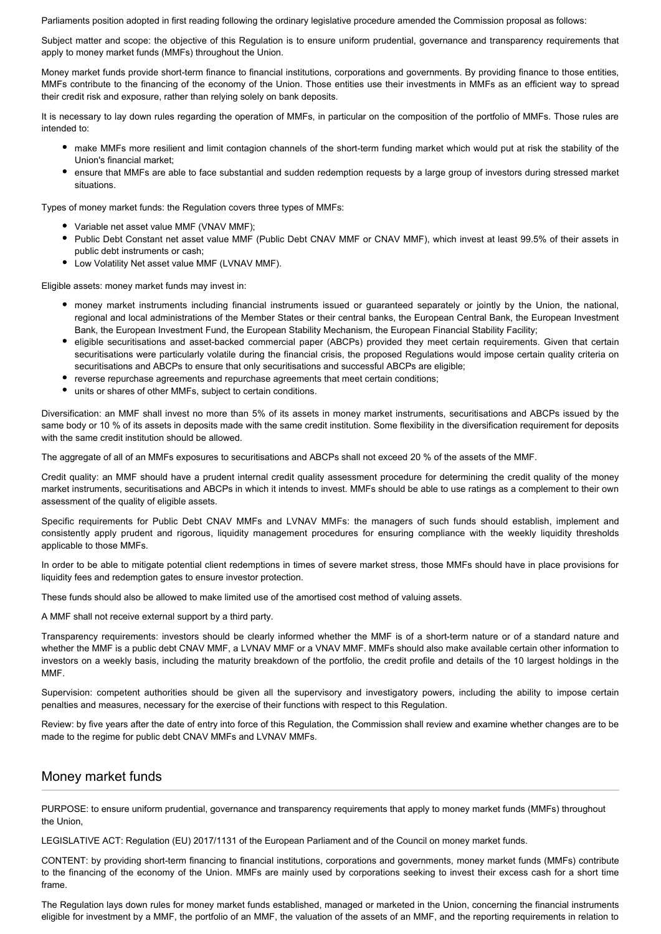Parliaments position adopted in first reading following the ordinary legislative procedure amended the Commission proposal as follows:

Subject matter and scope: the objective of this Regulation is to ensure uniform prudential, governance and transparency requirements that apply to money market funds (MMFs) throughout the Union.

Money market funds provide short-term finance to financial institutions, corporations and governments. By providing finance to those entities, MMFs contribute to the financing of the economy of the Union. Those entities use their investments in MMFs as an efficient way to spread their credit risk and exposure, rather than relying solely on bank deposits.

It is necessary to lay down rules regarding the operation of MMFs, in particular on the composition of the portfolio of MMFs. Those rules are intended to:

- make MMFs more resilient and limit contagion channels of the short-term funding market which would put at risk the stability of the Union's financial market;
- ensure that MMFs are able to face substantial and sudden redemption requests by a large group of investors during stressed market situations.

Types of money market funds: the Regulation covers three types of MMFs:

- Variable net asset value MMF (VNAV MMF);
- Public Debt Constant net asset value MMF (Public Debt CNAV MMF or CNAV MMF), which invest at least 99.5% of their assets in public debt instruments or cash;
- Low Volatility Net asset value MMF (LVNAV MMF).

Eligible assets: money market funds may invest in:

- money market instruments including financial instruments issued or guaranteed separately or jointly by the Union, the national, regional and local administrations of the Member States or their central banks, the European Central Bank, the European Investment Bank, the European Investment Fund, the European Stability Mechanism, the European Financial Stability Facility;
- eligible securitisations and asset-backed commercial paper (ABCPs) provided they meet certain requirements. Given that certain securitisations were particularly volatile during the financial crisis, the proposed Regulations would impose certain quality criteria on securitisations and ABCPs to ensure that only securitisations and successful ABCPs are eligible;
- reverse repurchase agreements and repurchase agreements that meet certain conditions;
- units or shares of other MMFs, subject to certain conditions.

Diversification: an MMF shall invest no more than 5% of its assets in money market instruments, securitisations and ABCPs issued by the same body or 10 % of its assets in deposits made with the same credit institution. Some flexibility in the diversification requirement for deposits with the same credit institution should be allowed.

The aggregate of all of an MMFs exposures to securitisations and ABCPs shall not exceed 20 % of the assets of the MMF.

Credit quality: an MMF should have a prudent internal credit quality assessment procedure for determining the credit quality of the money market instruments, securitisations and ABCPs in which it intends to invest. MMFs should be able to use ratings as a complement to their own assessment of the quality of eligible assets.

Specific requirements for Public Debt CNAV MMFs and LVNAV MMFs: the managers of such funds should establish, implement and consistently apply prudent and rigorous, liquidity management procedures for ensuring compliance with the weekly liquidity thresholds applicable to those MMFs.

In order to be able to mitigate potential client redemptions in times of severe market stress, those MMFs should have in place provisions for liquidity fees and redemption gates to ensure investor protection.

These funds should also be allowed to make limited use of the amortised cost method of valuing assets.

A MMF shall not receive external support by a third party.

Transparency requirements: investors should be clearly informed whether the MMF is of a short-term nature or of a standard nature and whether the MMF is a public debt CNAV MMF, a LVNAV MMF or a VNAV MMF. MMFs should also make available certain other information to investors on a weekly basis, including the maturity breakdown of the portfolio, the credit profile and details of the 10 largest holdings in the MMF.

Supervision: competent authorities should be given all the supervisory and investigatory powers, including the ability to impose certain penalties and measures, necessary for the exercise of their functions with respect to this Regulation.

Review: by five years after the date of entry into force of this Regulation, the Commission shall review and examine whether changes are to be made to the regime for public debt CNAV MMFs and LVNAV MMFs.

#### Money market funds

PURPOSE: to ensure uniform prudential, governance and transparency requirements that apply to money market funds (MMFs) throughout the Union,

LEGISLATIVE ACT: Regulation (EU) 2017/1131 of the European Parliament and of the Council on money market funds.

CONTENT: by providing short-term financing to financial institutions, corporations and governments, money market funds (MMFs) contribute to the financing of the economy of the Union. MMFs are mainly used by corporations seeking to invest their excess cash for a short time frame.

The Regulation lays down rules for money market funds established, managed or marketed in the Union, concerning the financial instruments eligible for investment by a MMF, the portfolio of an MMF, the valuation of the assets of an MMF, and the reporting requirements in relation to